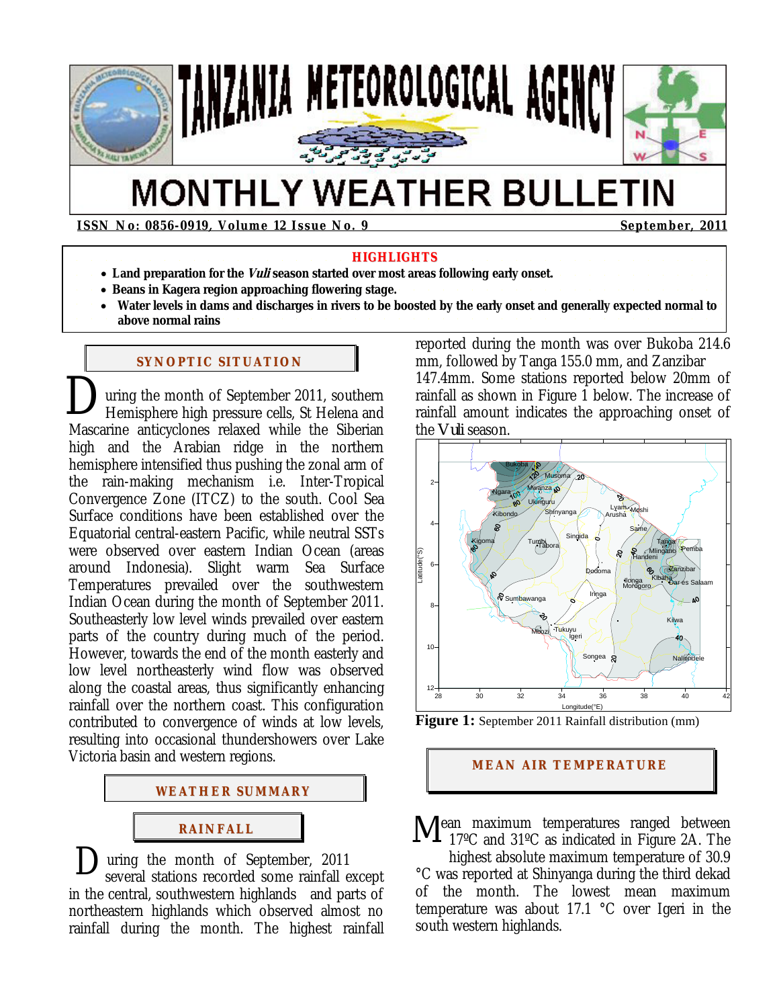

# **MONTHLY WEATHER BULLETIN**

**ISSN No: 0856-0919, Volume 12 Issue No. 9 September, 2011** 

#### **HIGHLIGHTS**

- Land preparation for the *Vuli* season started over most areas following early onset.
- **Beans in Kagera region approaching flowering stage.**
- **Water levels in dams and discharges in rivers to be boosted by the early onset and generally expected normal to above normal rains**

### **SYNOPTIC SITUATION**

uring the month of September 2011, southern Hemisphere high pressure cells, St Helena and Mascarine anticyclones relaxed while the Siberian high and the Arabian ridge in the northern hemisphere intensified thus pushing the zonal arm of the rain-making mechanism i.e. Inter-Tropical Convergence Zone (ITCZ) to the south. Cool Sea Surface conditions have been established over the Equatorial central-eastern Pacific, while neutral SSTs were observed over eastern Indian Ocean (areas around Indonesia). Slight warm Sea Surface Temperatures prevailed over the southwestern Indian Ocean during the month of September 2011. Southeasterly low level winds prevailed over eastern parts of the country during much of the period. However, towards the end of the month easterly and low level northeasterly wind flow was observed along the coastal areas, thus significantly enhancing rainfall over the northern coast. This configuration contributed to convergence of winds at low levels, resulting into occasional thundershowers over Lake Victoria basin and western regions. D



uring the month of September, 2011 several stations recorded some rainfall except in the central, southwestern highlands and parts of northeastern highlands which observed almost no rainfall during the month. The highest rainfall  $\mathbf{D}_{\text{st}}^{\text{u}}$ 

reported during the month was over Bukoba 214.6 mm, followed by Tanga 155.0 mm, and Zanzibar 147.4mm. Some stations reported below 20mm of rainfall as shown in Figure 1 below. The increase of rainfall amount indicates the approaching onset of the *Vuli* season.



**Figure 1:** September 2011 Rainfall distribution (mm)

### **MEAN AIR TEMPERATURE**

ean maximum temperatures ranged between Mean maximum temperatures ranged between<br>17ºC and 31ºC as indicated in Figure 2A. The

highest absolute maximum temperature of 30.9 °C was reported at Shinyanga during the third dekad of the month. The lowest mean maximum temperature was about 17.1 °C over Igeri in the south western highlands.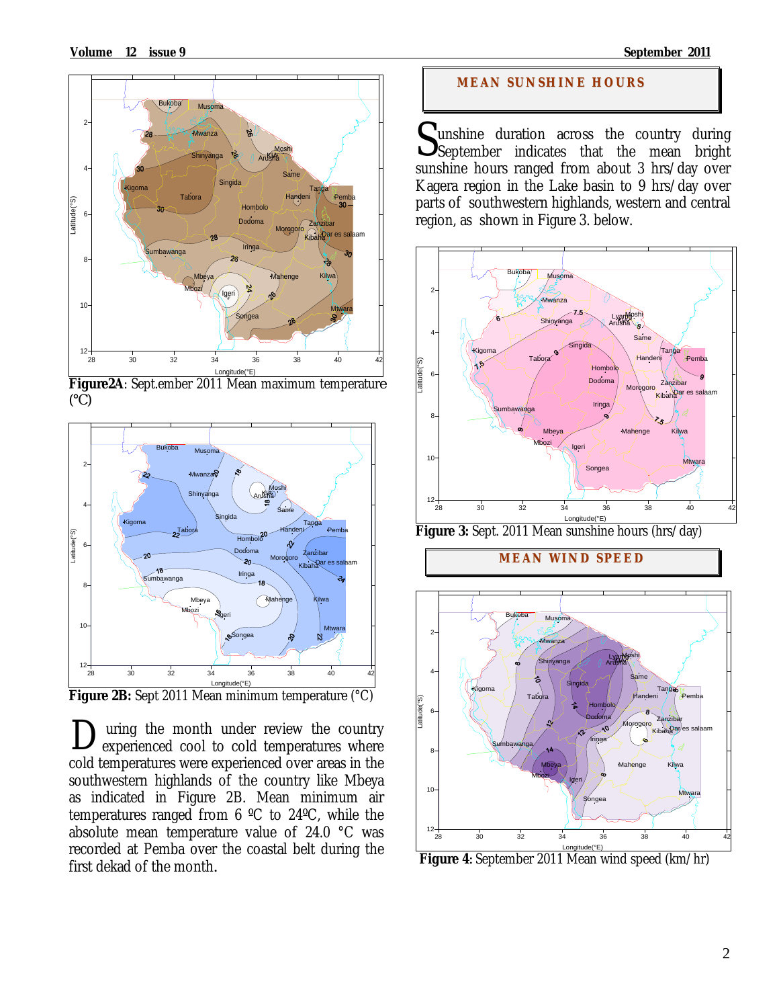

Longitude(°E) **Figure2A**: Sept.ember 2011 Mean maximum temperatur*e (°C)* 



**Figure 2B:** Sept 2011 Mean minimum temperature (°C)

 uring the month under review the country experienced cool to cold temperatures where cold temperatures were experienced over areas in the southwestern highlands of the country like Mbeya as indicated in Figure 2B. Mean minimum air temperatures ranged from 6 ºC to 24ºC, while the absolute mean temperature value of 24.0 °C was recorded at Pemba over the coastal belt during the first dekad of the month*.* D

### **MEAN SUNSHINE HOURS**

Sunshine duration across the country during<br>September indicates that the mean bright September indicates that the mean bright sunshine hours ranged from about 3 hrs/day over Kagera region in the Lake basin to 9 hrs/day over parts of southwestern highlands, western and central region, as shown in Figure 3. below.



**Figure 3:** Sept. 2011 Mean sunshine hours (hrs/day)

**MEAN WI ND SPEED**



**Figure 4***:* September 2011 Mean wind speed (km/hr)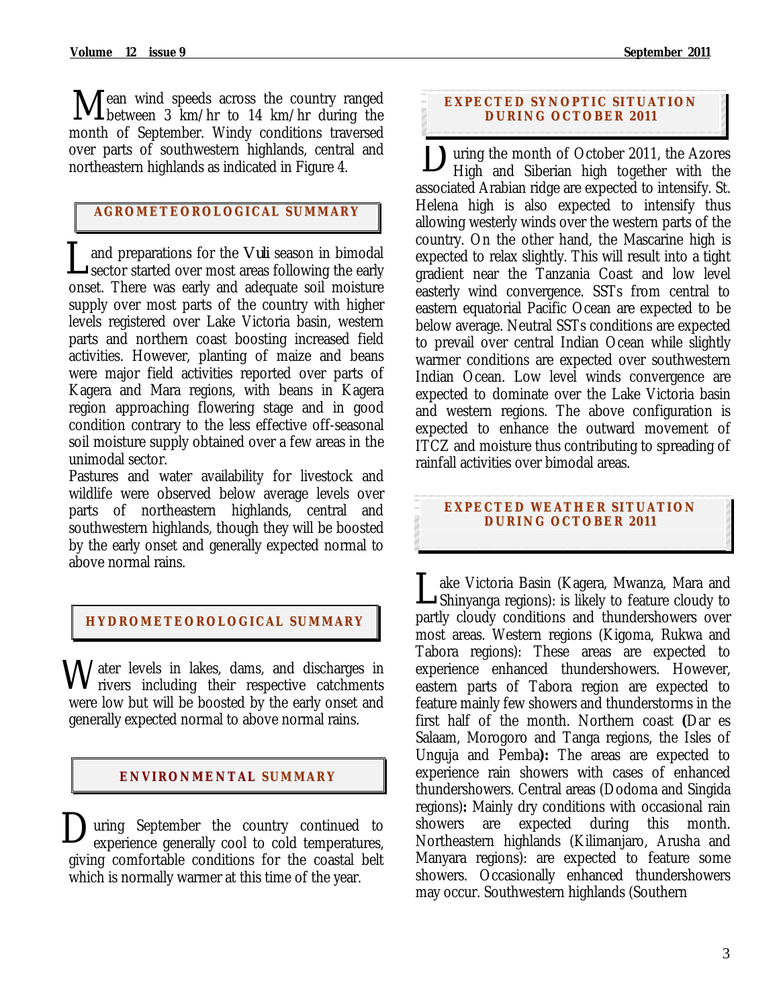ean wind speeds across the country ranged Mean wind speeds across the country ranged<br>
between 3 km/hr to 14 km/hr during the month of September. Windy conditions traversed over parts of southwestern highlands, central and northeastern highlands as indicated in Figure 4.

## $\frac{1}{\sqrt{2}}$ **AGROMETEOROLOGICAL SUMMARY**

and preparations for the *Vuli* season in bimodal **L** and preparations for the *Vuli* season in bimodal sector started over most areas following the early onset. There was early and adequate soil moisture supply over most parts of the country with higher levels registered over Lake Victoria basin, western parts and northern coast boosting increased field activities. However, planting of maize and beans were major field activities reported over parts of Kagera and Mara regions, with beans in Kagera region approaching flowering stage and in good condition contrary to the less effective off-seasonal soil moisture supply obtained over a few areas in the unimodal sector.

Pastures and water availability for livestock and wildlife were observed below average levels over parts of northeastern highlands, central and southwestern highlands, though they will be boosted by the early onset and generally expected normal to above normal rains.

### **HYDROMETEOROLOGICAL SUMMARY**

Water levels in lakes, dams, and discharges in rivers including their respective catchments rivers including their respective catchments were low but will be boosted by the early onset and generally expected normal to above normal rains.

### **ENVIRONMENTAL SUMMARY**

uring September the country continued to During September the country continued to experience generally cool to cold temperatures, giving comfortable conditions for the coastal belt which is normally warmer at this time of the year.

### **EXPECTED SYNOPTIC SITUATION DURI NG OCTOBER 2 011**

Uuring the month of October 2011, the Azores<br>High and Siberian high together with the High and Siberian high together with the associated Arabian ridge are expected to intensify. St. Helena high is also expected to intensify thus allowing westerly winds over the western parts of the country. On the other hand, the Mascarine high is expected to relax slightly. This will result into a tight gradient near the Tanzania Coast and low level easterly wind convergence. SSTs from central to eastern equatorial Pacific Ocean are expected to be below average. Neutral SSTs conditions are expected to prevail over central Indian Ocean while slightly warmer conditions are expected over southwestern Indian Ocean. Low level winds convergence are expected to dominate over the Lake Victoria basin and western regions. The above configuration is expected to enhance the outward movement of ITCZ and moisture thus contributing to spreading of rainfall activities over bimodal areas.

### **EXPECTED WEATHER SITUATION DURI NG OCTOBER 2 011**

ake Victoria Basin (Kagera, Mwanza, Mara and Lake Victoria Basin (Kagera, Mwanza, Mara and<br>Shinyanga regions): is likely to feature cloudy to partly cloudy conditions and thundershowers over most areas. Western regions (Kigoma, Rukwa and Tabora regions): These areas are expected to experience enhanced thundershowers. However, eastern parts of Tabora region are expected to feature mainly few showers and thunderstorms in the first half of the month. Northern coast **(**Dar es Salaam, Morogoro and Tanga regions, the Isles of Unguja and Pemba**):** The areas are expected to experience rain showers with cases of enhanced thundershowers. Central areas (Dodoma and Singida regions)**:** Mainly dry conditions with occasional rain showers are expected during this month. Northeastern highlands (Kilimanjaro, Arusha and Manyara regions): are expected to feature some showers. Occasionally enhanced thundershowers may occur. Southwestern highlands (Southern